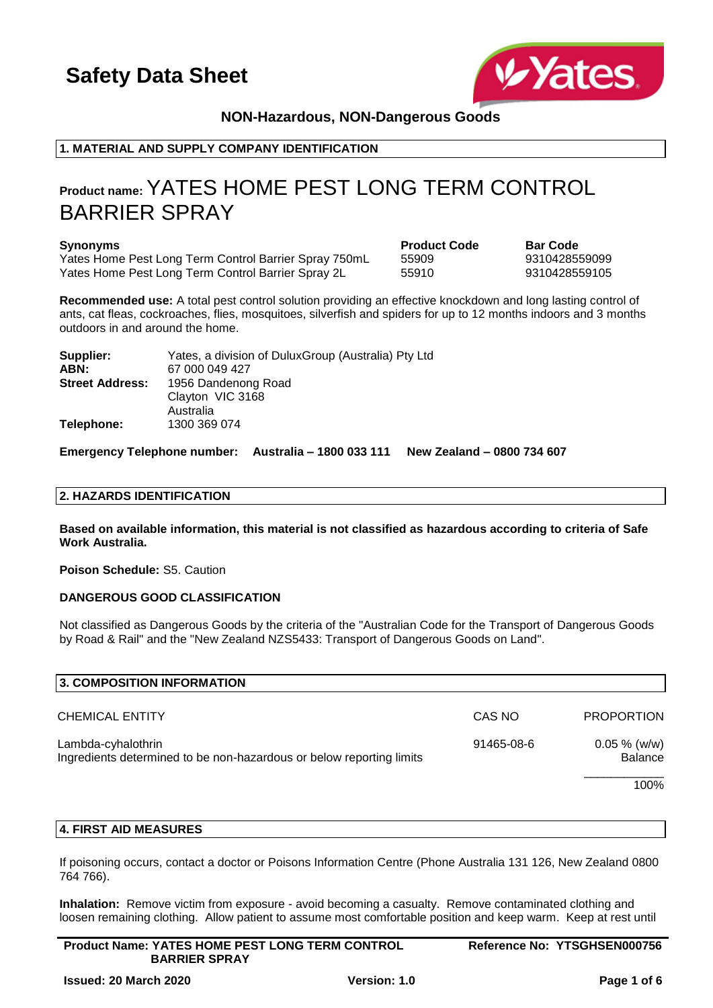

## **NON-Hazardous, NON-Dangerous Goods**

## **1. MATERIAL AND SUPPLY COMPANY IDENTIFICATION**

## **Product name:**YATES HOME PEST LONG TERM CONTROL BARRIER SPRAY

#### **Synonyms Product Code Bar Code**

Yates Home Pest Long Term Control Barrier Spray 750mL 55909 93 9310428559099 Yates Home Pest Long Term Control Barrier Spray 2L 55910 9310428559105

**Recommended use:** A total pest control solution providing an effective knockdown and long lasting control of ants, cat fleas, cockroaches, flies, mosquitoes, silverfish and spiders for up to 12 months indoors and 3 months outdoors in and around the home.

| Supplier:              | Yates, a division of DuluxGroup (Australia) Pty Ltd |
|------------------------|-----------------------------------------------------|
| ABN:                   | 67 000 049 427                                      |
| <b>Street Address:</b> | 1956 Dandenong Road                                 |
|                        | Clayton VIC 3168                                    |
|                        | Australia                                           |
| Telephone:             | 1300 369 074                                        |

**Emergency Telephone number: Australia – 1800 033 111 New Zealand – 0800 734 607**

### **2. HAZARDS IDENTIFICATION**

**Based on available information, this material is not classified as hazardous according to criteria of Safe Work Australia.**

**Poison Schedule:** S5. Caution

### **DANGEROUS GOOD CLASSIFICATION**

Not classified as Dangerous Goods by the criteria of the "Australian Code for the Transport of Dangerous Goods by Road & Rail" and the "New Zealand NZS5433: Transport of Dangerous Goods on Land".

| CAS NO     | <b>PROPORTION</b>          |
|------------|----------------------------|
| 91465-08-6 | $0.05 \%$ (w/w)<br>Balance |
|            | 100%                       |
|            |                            |

### **4. FIRST AID MEASURES**

If poisoning occurs, contact a doctor or Poisons Information Centre (Phone Australia 131 126, New Zealand 0800 764 766).

**Inhalation:** Remove victim from exposure - avoid becoming a casualty. Remove contaminated clothing and loosen remaining clothing. Allow patient to assume most comfortable position and keep warm. Keep at rest until

| <b>Product Name: YATES HOME PEST LONG TERM CONTROL</b> | Reference No: YTSGHSEN000756 |
|--------------------------------------------------------|------------------------------|
| <b>BARRIER SPRAY</b>                                   |                              |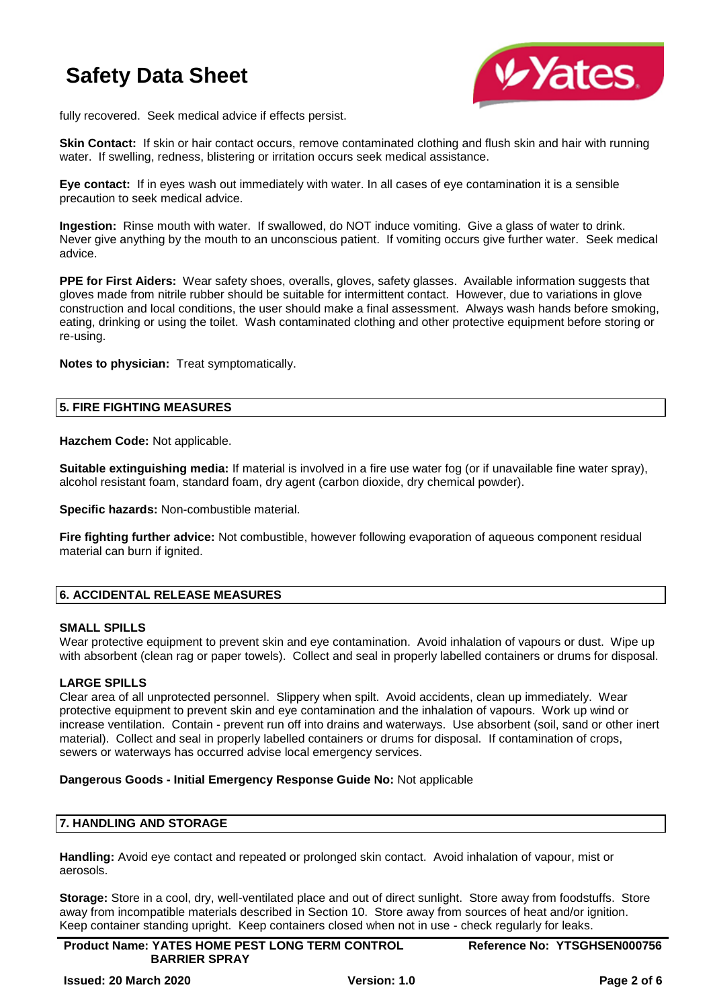

fully recovered. Seek medical advice if effects persist.

**Skin Contact:** If skin or hair contact occurs, remove contaminated clothing and flush skin and hair with running water. If swelling, redness, blistering or irritation occurs seek medical assistance.

**Eye contact:** If in eyes wash out immediately with water. In all cases of eye contamination it is a sensible precaution to seek medical advice.

**Ingestion:** Rinse mouth with water. If swallowed, do NOT induce vomiting. Give a glass of water to drink. Never give anything by the mouth to an unconscious patient. If vomiting occurs give further water. Seek medical advice.

**PPE for First Aiders:** Wear safety shoes, overalls, gloves, safety glasses. Available information suggests that gloves made from nitrile rubber should be suitable for intermittent contact. However, due to variations in glove construction and local conditions, the user should make a final assessment. Always wash hands before smoking, eating, drinking or using the toilet. Wash contaminated clothing and other protective equipment before storing or re-using.

**Notes to physician:** Treat symptomatically.

### **5. FIRE FIGHTING MEASURES**

**Hazchem Code:** Not applicable.

**Suitable extinguishing media:** If material is involved in a fire use water fog (or if unavailable fine water spray), alcohol resistant foam, standard foam, dry agent (carbon dioxide, dry chemical powder).

**Specific hazards:** Non-combustible material.

**Fire fighting further advice:** Not combustible, however following evaporation of aqueous component residual material can burn if ignited.

## **6. ACCIDENTAL RELEASE MEASURES**

### **SMALL SPILLS**

Wear protective equipment to prevent skin and eye contamination. Avoid inhalation of vapours or dust. Wipe up with absorbent (clean rag or paper towels). Collect and seal in properly labelled containers or drums for disposal.

### **LARGE SPILLS**

Clear area of all unprotected personnel. Slippery when spilt. Avoid accidents, clean up immediately. Wear protective equipment to prevent skin and eye contamination and the inhalation of vapours. Work up wind or increase ventilation. Contain - prevent run off into drains and waterways. Use absorbent (soil, sand or other inert material). Collect and seal in properly labelled containers or drums for disposal. If contamination of crops, sewers or waterways has occurred advise local emergency services.

### **Dangerous Goods - Initial Emergency Response Guide No:** Not applicable

## **7. HANDLING AND STORAGE**

**Handling:** Avoid eye contact and repeated or prolonged skin contact. Avoid inhalation of vapour, mist or aerosols.

**Storage:** Store in a cool, dry, well-ventilated place and out of direct sunlight. Store away from foodstuffs. Store away from incompatible materials described in Section 10. Store away from sources of heat and/or ignition. Keep container standing upright. Keep containers closed when not in use - check regularly for leaks.

**Product Name: YATES HOME PEST LONG TERM CONTROL BARRIER SPRAY Reference No: YTSGHSEN000756**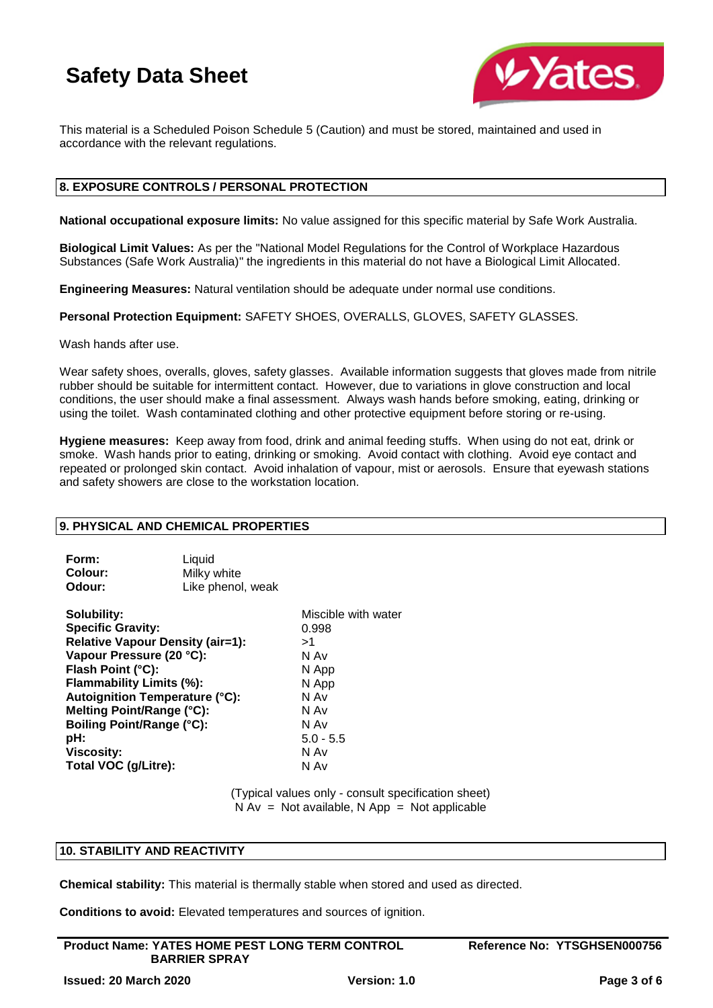

This material is a Scheduled Poison Schedule 5 (Caution) and must be stored, maintained and used in accordance with the relevant regulations.

### **8. EXPOSURE CONTROLS / PERSONAL PROTECTION**

**National occupational exposure limits:** No value assigned for this specific material by Safe Work Australia.

**Biological Limit Values:** As per the "National Model Regulations for the Control of Workplace Hazardous Substances (Safe Work Australia)" the ingredients in this material do not have a Biological Limit Allocated.

**Engineering Measures:** Natural ventilation should be adequate under normal use conditions.

**Personal Protection Equipment:** SAFETY SHOES, OVERALLS, GLOVES, SAFETY GLASSES.

Wash hands after use.

Wear safety shoes, overalls, gloves, safety glasses. Available information suggests that gloves made from nitrile rubber should be suitable for intermittent contact. However, due to variations in glove construction and local conditions, the user should make a final assessment. Always wash hands before smoking, eating, drinking or using the toilet. Wash contaminated clothing and other protective equipment before storing or re-using.

**Hygiene measures:** Keep away from food, drink and animal feeding stuffs. When using do not eat, drink or smoke. Wash hands prior to eating, drinking or smoking. Avoid contact with clothing. Avoid eye contact and repeated or prolonged skin contact. Avoid inhalation of vapour, mist or aerosols. Ensure that eyewash stations and safety showers are close to the workstation location.

### **9. PHYSICAL AND CHEMICAL PROPERTIES**

| Form:          | Liquid            |
|----------------|-------------------|
| <b>Colour:</b> | Milky white       |
| Odour:         | Like phenol, weak |

**Solubility:** Miscible with water **Specific Gravity:** 0.998 **Relative Vapour Density (air=1):** >1 **Vapour Pressure (20 °C):** N Av **Flash Point (°C):** N App **Flammability Limits (%):** N App **Autoignition Temperature (°C):** N Av **Melting Point/Range (°C):** N Av **Boiling Point/Range (°C):** N Av **pH:**  $5.0 - 5.5$ **Viscosity:** N Av **Total VOC (g/Litre):** N Av

(Typical values only - consult specification sheet)  $N Av = Not available, N App = Not applicable$ 

### **10. STABILITY AND REACTIVITY**

**Chemical stability:** This material is thermally stable when stored and used as directed.

**Conditions to avoid:** Elevated temperatures and sources of ignition.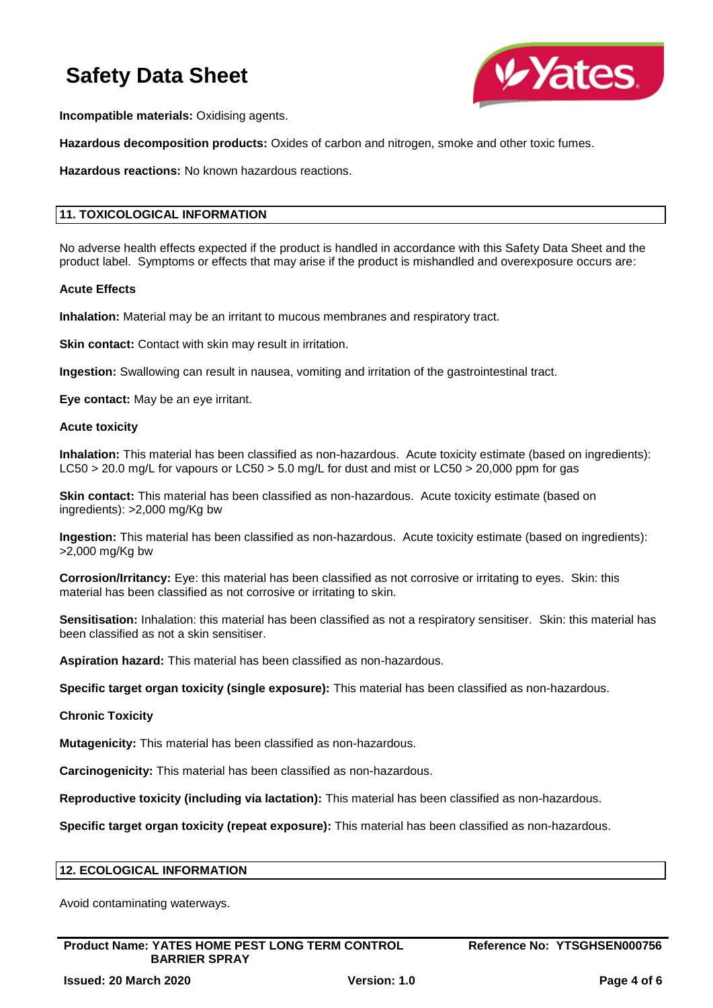

**Incompatible materials:** Oxidising agents.

**Hazardous decomposition products:** Oxides of carbon and nitrogen, smoke and other toxic fumes.

**Hazardous reactions:** No known hazardous reactions.

## **11. TOXICOLOGICAL INFORMATION**

No adverse health effects expected if the product is handled in accordance with this Safety Data Sheet and the product label. Symptoms or effects that may arise if the product is mishandled and overexposure occurs are:

### **Acute Effects**

**Inhalation:** Material may be an irritant to mucous membranes and respiratory tract.

**Skin contact:** Contact with skin may result in irritation.

**Ingestion:** Swallowing can result in nausea, vomiting and irritation of the gastrointestinal tract.

**Eye contact:** May be an eye irritant.

#### **Acute toxicity**

**Inhalation:** This material has been classified as non-hazardous. Acute toxicity estimate (based on ingredients): LC50 > 20.0 mg/L for vapours or LC50 > 5.0 mg/L for dust and mist or LC50 > 20,000 ppm for gas

**Skin contact:** This material has been classified as non-hazardous. Acute toxicity estimate (based on ingredients): >2,000 mg/Kg bw

**Ingestion:** This material has been classified as non-hazardous. Acute toxicity estimate (based on ingredients): >2,000 mg/Kg bw

**Corrosion/Irritancy:** Eye: this material has been classified as not corrosive or irritating to eyes. Skin: this material has been classified as not corrosive or irritating to skin.

**Sensitisation:** Inhalation: this material has been classified as not a respiratory sensitiser. Skin: this material has been classified as not a skin sensitiser.

**Aspiration hazard:** This material has been classified as non-hazardous.

**Specific target organ toxicity (single exposure):** This material has been classified as non-hazardous.

**Chronic Toxicity**

**Mutagenicity:** This material has been classified as non-hazardous.

**Carcinogenicity:** This material has been classified as non-hazardous.

**Reproductive toxicity (including via lactation):** This material has been classified as non-hazardous.

**Specific target organ toxicity (repeat exposure):** This material has been classified as non-hazardous.

### **12. ECOLOGICAL INFORMATION**

Avoid contaminating waterways.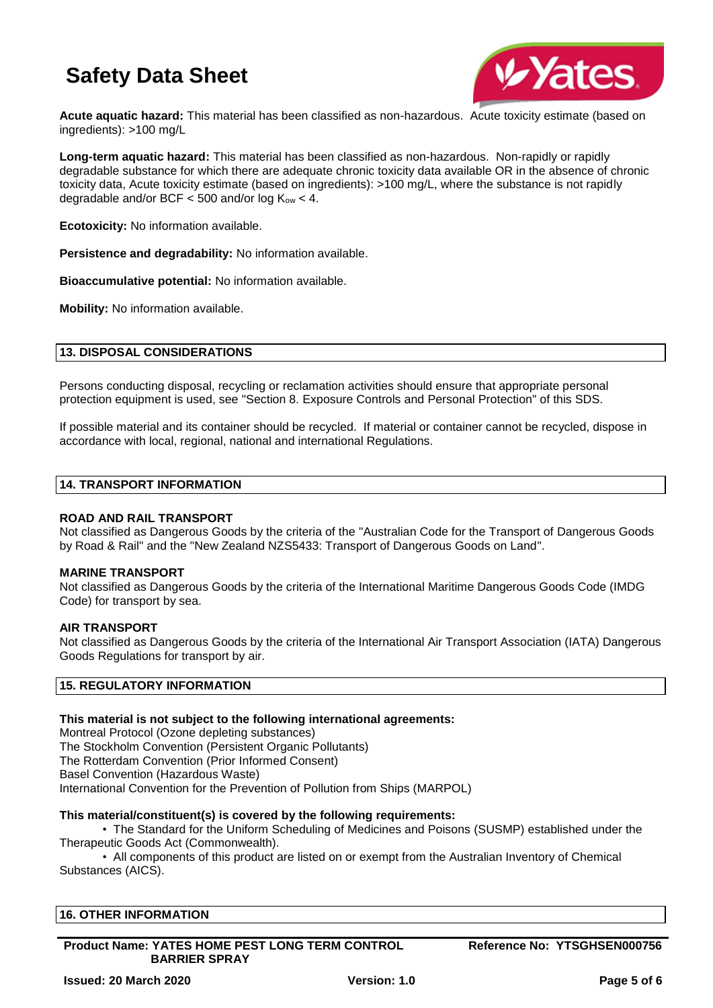

**Acute aquatic hazard:** This material has been classified as non-hazardous. Acute toxicity estimate (based on ingredients): >100 mg/L

**Long-term aquatic hazard:** This material has been classified as non-hazardous. Non-rapidly or rapidly degradable substance for which there are adequate chronic toxicity data available OR in the absence of chronic toxicity data, Acute toxicity estimate (based on ingredients): >100 mg/L, where the substance is not rapidly degradable and/or BCF  $<$  500 and/or log  $K_{ow}$   $<$  4.

**Ecotoxicity:** No information available.

**Persistence and degradability:** No information available.

**Bioaccumulative potential:** No information available.

**Mobility:** No information available.

## **13. DISPOSAL CONSIDERATIONS**

Persons conducting disposal, recycling or reclamation activities should ensure that appropriate personal protection equipment is used, see "Section 8. Exposure Controls and Personal Protection" of this SDS.

If possible material and its container should be recycled. If material or container cannot be recycled, dispose in accordance with local, regional, national and international Regulations.

## **14. TRANSPORT INFORMATION**

## **ROAD AND RAIL TRANSPORT**

Not classified as Dangerous Goods by the criteria of the "Australian Code for the Transport of Dangerous Goods by Road & Rail" and the "New Zealand NZS5433: Transport of Dangerous Goods on Land".

### **MARINE TRANSPORT**

Not classified as Dangerous Goods by the criteria of the International Maritime Dangerous Goods Code (IMDG Code) for transport by sea.

### **AIR TRANSPORT**

Not classified as Dangerous Goods by the criteria of the International Air Transport Association (IATA) Dangerous Goods Regulations for transport by air.

### **15. REGULATORY INFORMATION**

### **This material is not subject to the following international agreements:**

Montreal Protocol (Ozone depleting substances) The Stockholm Convention (Persistent Organic Pollutants) The Rotterdam Convention (Prior Informed Consent) Basel Convention (Hazardous Waste) International Convention for the Prevention of Pollution from Ships (MARPOL)

### **This material/constituent(s) is covered by the following requirements:**

• The Standard for the Uniform Scheduling of Medicines and Poisons (SUSMP) established under the Therapeutic Goods Act (Commonwealth).

• All components of this product are listed on or exempt from the Australian Inventory of Chemical Substances (AICS).

## **16. OTHER INFORMATION**

**Product Name: YATES HOME PEST LONG TERM CONTROL BARRIER SPRAY**